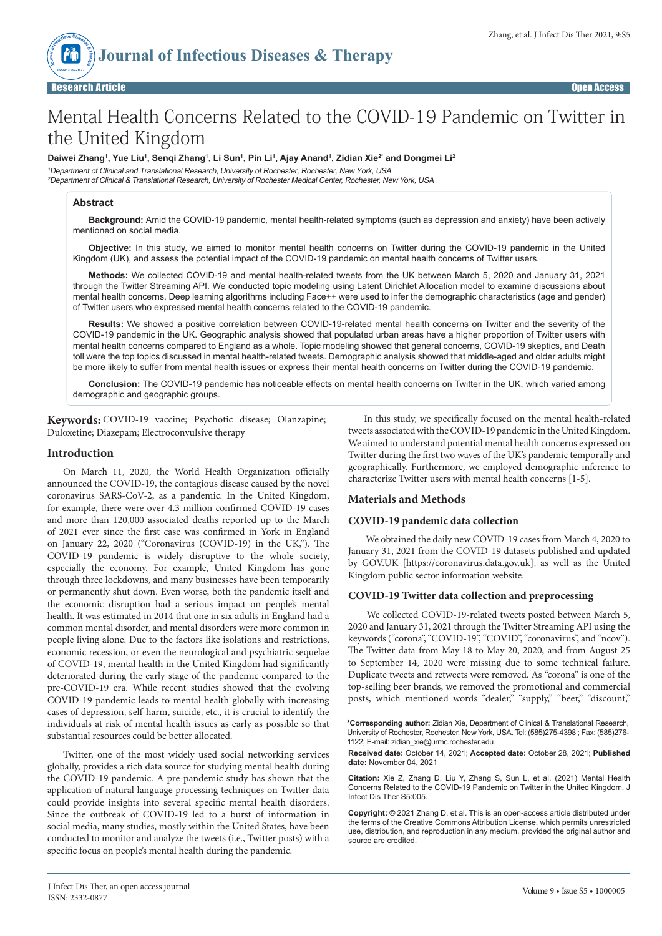

# Mental Health Concerns Related to the COVID-19 Pandemic on Twitter in the United Kingdom

**Daiwei Zhang1 , Yue Liu1 , Senqi Zhang1 , Li Sun1 , Pin Li1 , Ajay Anand1 , Zidian Xie2\* and Dongmei Li2**

<sup>1</sup>Department of Clinical and Translational Research, University of Rochester, Rochester, New York, USA <sup>2</sup>Department of Clinical & Translational Research, University of Rochester Medical Center, Rochester, New York, USA

## **Abstract**

**Background:** Amid the COVID-19 pandemic, mental health-related symptoms (such as depression and anxiety) have been actively mentioned on social media.

**Objective:** In this study, we aimed to monitor mental health concerns on Twitter during the COVID-19 pandemic in the United Kingdom (UK), and assess the potential impact of the COVID-19 pandemic on mental health concerns of Twitter users.

**Methods:** We collected COVID-19 and mental health-related tweets from the UK between March 5, 2020 and January 31, 2021 through the Twitter Streaming API. We conducted topic modeling using Latent Dirichlet Allocation model to examine discussions about mental health concerns. Deep learning algorithms including Face++ were used to infer the demographic characteristics (age and gender) of Twitter users who expressed mental health concerns related to the COVID-19 pandemic.

**Results:** We showed a positive correlation between COVID-19-related mental health concerns on Twitter and the severity of the COVID-19 pandemic in the UK. Geographic analysis showed that populated urban areas have a higher proportion of Twitter users with mental health concerns compared to England as a whole. Topic modeling showed that general concerns, COVID-19 skeptics, and Death toll were the top topics discussed in mental health-related tweets. Demographic analysis showed that middle-aged and older adults might be more likely to suffer from mental health issues or express their mental health concerns on Twitter during the COVID-19 pandemic.

**Conclusion:** The COVID-19 pandemic has noticeable effects on mental health concerns on Twitter in the UK, which varied among demographic and geographic groups.

**Keywords:** COVID-19 vaccine; Psychotic disease; Olanzapine; Duloxetine; Diazepam; Electroconvulsive therapy

# **Introduction**

On March 11, 2020, the World Health Organization officially announced the COVID-19, the contagious disease caused by the novel coronavirus SARS-CoV-2, as a pandemic. In the United Kingdom, for example, there were over 4.3 million confirmed COVID-19 cases and more than 120,000 associated deaths reported up to the March of 2021 ever since the first case was confirmed in York in England on January 22, 2020 ("Coronavirus (COVID-19) in the UK,"). The COVID-19 pandemic is widely disruptive to the whole society, especially the economy. For example, United Kingdom has gone through three lockdowns, and many businesses have been temporarily or permanently shut down. Even worse, both the pandemic itself and the economic disruption had a serious impact on people's mental health. It was estimated in 2014 that one in six adults in England had a common mental disorder, and mental disorders were more common in people living alone. Due to the factors like isolations and restrictions, economic recession, or even the neurological and psychiatric sequelae of COVID-19, mental health in the United Kingdom had significantly deteriorated during the early stage of the pandemic compared to the pre-COVID-19 era. While recent studies showed that the evolving COVID-19 pandemic leads to mental health globally with increasing cases of depression, self-harm, suicide, etc., it is crucial to identify the individuals at risk of mental health issues as early as possible so that substantial resources could be better allocated.

Twitter, one of the most widely used social networking services globally, provides a rich data source for studying mental health during the COVID-19 pandemic. A pre-pandemic study has shown that the application of natural language processing techniques on Twitter data could provide insights into several specific mental health disorders. Since the outbreak of COVID-19 led to a burst of information in social media, many studies, mostly within the United States, have been conducted to monitor and analyze the tweets (i.e., Twitter posts) with a specific focus on people's mental health during the pandemic.

In this study, we specifically focused on the mental health-related tweets associated with the COVID-19 pandemic in the United Kingdom. We aimed to understand potential mental health concerns expressed on Twitter during the first two waves of the UK's pandemic temporally and geographically. Furthermore, we employed demographic inference to characterize Twitter users with mental health concerns [1-5].

# **Materials and Methods**

## **COVID-19 pandemic data collection**

 We obtained the daily new COVID-19 cases from March 4, 2020 to January 31, 2021 from the COVID-19 datasets published and updated by GOV.UK [https://coronavirus.data.gov.uk], as well as the United Kingdom public sector information website.

## **COVID-19 Twitter data collection and preprocessing**

 We collected COVID-19-related tweets posted between March 5, 2020 and January 31, 2021 through the Twitter Streaming API using the keywords ("corona", "COVID-19", "COVID", "coronavirus", and "ncov"). The Twitter data from May 18 to May 20, 2020, and from August 25 to September 14, 2020 were missing due to some technical failure. Duplicate tweets and retweets were removed. As "corona" is one of the top-selling beer brands, we removed the promotional and commercial posts, which mentioned words "dealer," "supply," "beer," "discount,"

**Citation:** Xie Z, Zhang D, Liu Y, Zhang S, Sun L, et al. (2021) Mental Health Concerns Related to the COVID-19 Pandemic on Twitter in the United Kingdom. J Infect Dis Ther S5:005.

**Copyright:** © 2021 Zhang D, et al. This is an open-access article distributed under the terms of the Creative Commons Attribution License, which permits unrestricted use, distribution, and reproduction in any medium, provided the original author and source are credited.

**<sup>\*</sup>Corresponding author:** Zidian Xie, Department of Clinical & Translational Research, University of Rochester, Rochester, New York, USA. Tel: (585)275-4398 ; Fax: (585)276- 1122; E-mail: zidian\_xie@urmc.rochester.edu

**Received date:** October 14, 2021; **Accepted date:** October 28, 2021; **Published date:** November 04, 2021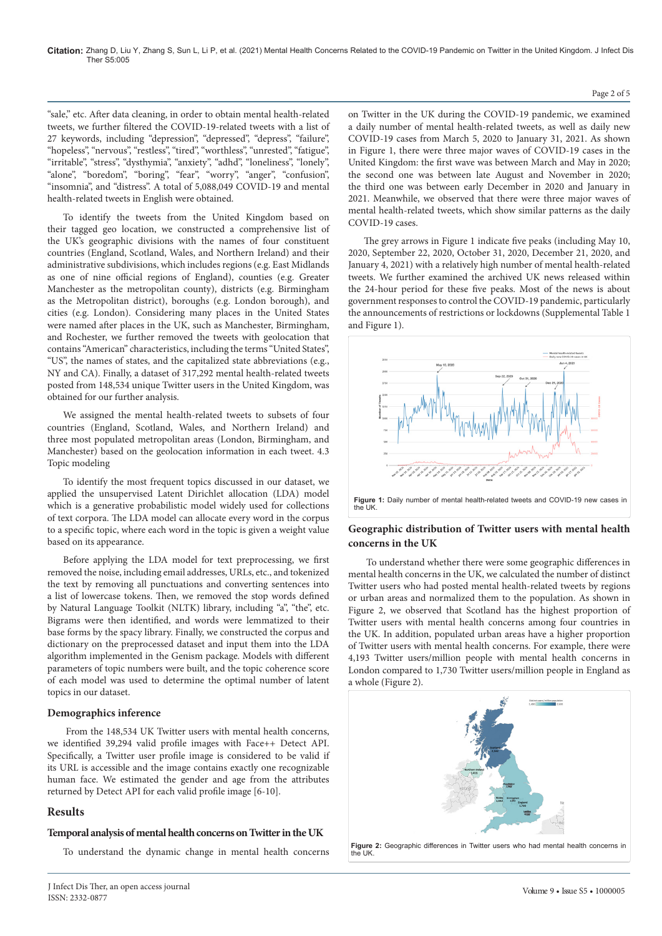"sale," etc. After data cleaning, in order to obtain mental health-related tweets, we further filtered the COVID-19-related tweets with a list of 27 keywords, including "depression", "depressed", "depress", "failure", "hopeless", "nervous", "restless", "tired", "worthless", "unrested", "fatigue", "irritable", "stress", "dysthymia", "anxiety", "adhd", "loneliness", "lonely", "alone", "boredom", "boring", "fear", "worry", "anger", "confusion", "insomnia", and "distress". A total of 5,088,049 COVID-19 and mental health-related tweets in English were obtained.

To identify the tweets from the United Kingdom based on their tagged geo location, we constructed a comprehensive list of the UK's geographic divisions with the names of four constituent countries (England, Scotland, Wales, and Northern Ireland) and their administrative subdivisions, which includes regions (e.g. East Midlands as one of nine official regions of England), counties (e.g. Greater Manchester as the metropolitan county), districts (e.g. Birmingham as the Metropolitan district), boroughs (e.g. London borough), and cities (e.g. London). Considering many places in the United States were named after places in the UK, such as Manchester, Birmingham, and Rochester, we further removed the tweets with geolocation that contains "American" characteristics, including the terms "United States", "US", the names of states, and the capitalized state abbreviations (e.g., NY and CA). Finally, a dataset of 317,292 mental health-related tweets posted from 148,534 unique Twitter users in the United Kingdom, was obtained for our further analysis.

We assigned the mental health-related tweets to subsets of four countries (England, Scotland, Wales, and Northern Ireland) and three most populated metropolitan areas (London, Birmingham, and Manchester) based on the geolocation information in each tweet. 4.3 Topic modeling

To identify the most frequent topics discussed in our dataset, we applied the unsupervised Latent Dirichlet allocation (LDA) model which is a generative probabilistic model widely used for collections of text corpora. The LDA model can allocate every word in the corpus to a specific topic, where each word in the topic is given a weight value based on its appearance.

Before applying the LDA model for text preprocessing, we first removed the noise, including email addresses, URLs, etc., and tokenized the text by removing all punctuations and converting sentences into a list of lowercase tokens. Then, we removed the stop words defined by Natural Language Toolkit (NLTK) library, including "a", "the", etc. Bigrams were then identified, and words were lemmatized to their base forms by the spacy library. Finally, we constructed the corpus and dictionary on the preprocessed dataset and input them into the LDA algorithm implemented in the Genism package. Models with different parameters of topic numbers were built, and the topic coherence score of each model was used to determine the optimal number of latent topics in our dataset.

# **Demographics inference**

 From the 148,534 UK Twitter users with mental health concerns, we identified 39,294 valid profile images with Face++ Detect API. Specifically, a Twitter user profile image is considered to be valid if its URL is accessible and the image contains exactly one recognizable human face. We estimated the gender and age from the attributes returned by Detect API for each valid profile image [6-10].

# **Results**

# **Temporal analysis of mental health concerns on Twitter in the UK**

To understand the dynamic change in mental health concerns

on Twitter in the UK during the COVID-19 pandemic, we examined a daily number of mental health-related tweets, as well as daily new COVID-19 cases from March 5, 2020 to January 31, 2021. As shown in Figure 1, there were three major waves of COVID-19 cases in the United Kingdom: the first wave was between March and May in 2020; the second one was between late August and November in 2020; the third one was between early December in 2020 and January in 2021. Meanwhile, we observed that there were three major waves of mental health-related tweets, which show similar patterns as the daily COVID-19 cases.

The grey arrows in Figure 1 indicate five peaks (including May 10, 2020, September 22, 2020, October 31, 2020, December 21, 2020, and January 4, 2021) with a relatively high number of mental health-related tweets. We further examined the archived UK news released within the 24-hour period for these five peaks. Most of the news is about government responses to control the COVID-19 pandemic, particularly the announcements of restrictions or lockdowns (Supplemental Table 1 and Figure 1).



## **Geographic distribution of Twitter users with mental health concerns in the UK**

 To understand whether there were some geographic differences in mental health concerns in the UK, we calculated the number of distinct Twitter users who had posted mental health-related tweets by regions or urban areas and normalized them to the population. As shown in Figure 2, we observed that Scotland has the highest proportion of Twitter users with mental health concerns among four countries in the UK. In addition, populated urban areas have a higher proportion of Twitter users with mental health concerns. For example, there were 4,193 Twitter users/million people with mental health concerns in London compared to 1,730 Twitter users/million people in England as a whole (Figure 2).

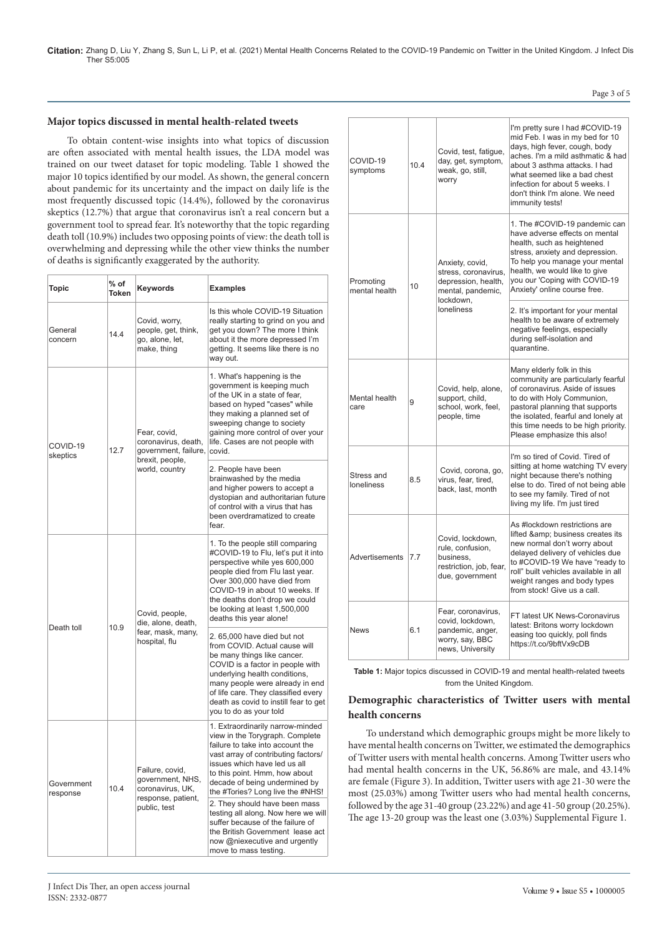**Citation:** Zhang D, Liu Y, Zhang S, Sun L, Li P, et al. (2021) Mental Health Concerns Related to the COVID-19 Pandemic on Twitter in the United Kingdom. J Infect Dis Ther S5:005.

Page 3 of 5

## **Major topics discussed in mental health-related tweets**

 To obtain content-wise insights into what topics of discussion are often associated with mental health issues, the LDA model was trained on our tweet dataset for topic modeling. Table 1 showed the major 10 topics identified by our model. As shown, the general concern about pandemic for its uncertainty and the impact on daily life is the most frequently discussed topic (14.4%), followed by the coronavirus skeptics (12.7%) that argue that coronavirus isn't a real concern but a government tool to spread fear. It's noteworthy that the topic regarding death toll (10.9%) includes two opposing points of view: the death toll is overwhelming and depressing while the other view thinks the number of deaths is significantly exaggerated by the authority.

| Topic                  | $%$ of<br><b>Token</b> | Keywords                                                                                         | <b>Examples</b>                                                                                                                                                                                                                                                                                              |
|------------------------|------------------------|--------------------------------------------------------------------------------------------------|--------------------------------------------------------------------------------------------------------------------------------------------------------------------------------------------------------------------------------------------------------------------------------------------------------------|
| General<br>concern     | 14.4                   | Covid, worry,<br>people, get, think,<br>go, alone, let,<br>make, thing                           | Is this whole COVID-19 Situation<br>really starting to grind on you and<br>get you down? The more I think<br>about it the more depressed I'm<br>getting. It seems like there is no<br>way out.                                                                                                               |
| COVID-19<br>skeptics   | 12.7                   | Fear, covid,<br>coronavirus, death,<br>government, failure,<br>brexit, people,<br>world, country | 1. What's happening is the<br>government is keeping much<br>of the UK in a state of fear,<br>based on hyped "cases" while<br>they making a planned set of<br>sweeping change to society<br>gaining more control of over your<br>life. Cases are not people with<br>covid.                                    |
|                        |                        |                                                                                                  | 2. People have been<br>brainwashed by the media<br>and higher powers to accept a<br>dystopian and authoritarian future<br>of control with a virus that has<br>been overdramatized to create<br>fear.                                                                                                         |
| Death toll             | 10.9                   | Covid, people,<br>die, alone, death,<br>fear, mask, many,<br>hospital, flu                       | 1. To the people still comparing<br>#COVID-19 to Flu, let's put it into<br>perspective while yes 600,000<br>people died from Flu last year.<br>Over 300,000 have died from<br>COVID-19 in about 10 weeks. If<br>the deaths don't drop we could<br>be looking at least 1,500,000<br>deaths this year alone!   |
|                        |                        |                                                                                                  | 2.65,000 have died but not<br>from COVID. Actual cause will<br>be many things like cancer.<br>COVID is a factor in people with<br>underlying health conditions,<br>many people were already in end<br>of life care. They classified every<br>death as covid to instill fear to get<br>you to do as your told |
| Government<br>response | 10.4                   | Failure, covid,<br>government, NHS,<br>coronavirus, UK,<br>response, patient,<br>public, test    | 1. Extraordinarily narrow-minded<br>view in the Torygraph. Complete<br>failure to take into account the<br>vast array of contributing factors/<br>issues which have led us all<br>to this point. Hmm, how about<br>decade of being undermined by<br>the #Tories? Long live the #NHS!                         |
|                        |                        |                                                                                                  | 2. They should have been mass<br>testing all along. Now here we will<br>suffer because of the failure of<br>the British Government lease act<br>now @niexecutive and urgently<br>move to mass testing.                                                                                                       |

| COVID-19<br>symptoms       | 10.4 | Covid, test, fatigue,<br>day, get, symptom,<br>weak, go, still,<br>worry                                       | I'm pretty sure I had #COVID-19<br>mid Feb. I was in my bed for 10<br>days, high fever, cough, body<br>aches. I'm a mild asthmatic & had<br>about 3 asthma attacks. I had<br>what seemed like a bad chest<br>infection for about 5 weeks. I<br>don't think I'm alone. We need<br>immunity tests! |
|----------------------------|------|----------------------------------------------------------------------------------------------------------------|--------------------------------------------------------------------------------------------------------------------------------------------------------------------------------------------------------------------------------------------------------------------------------------------------|
| Promoting<br>mental health | 10   | Anxiety, covid,<br>stress, coronavirus,<br>depression, health,<br>mental, pandemic,<br>lockdown.<br>loneliness | 1. The #COVID-19 pandemic can<br>have adverse effects on mental<br>health, such as heightened<br>stress, anxiety and depression.<br>To help you manage your mental<br>health, we would like to give<br>you our 'Coping with COVID-19<br>Anxiety' online course free.                             |
|                            |      |                                                                                                                | 2. It's important for your mental<br>health to be aware of extremely<br>negative feelings, especially<br>during self-isolation and<br>quarantine.                                                                                                                                                |
| Mental health<br>care      | 9    | Covid, help, alone,<br>support, child,<br>school, work, feel,<br>people, time                                  | Many elderly folk in this<br>community are particularly fearful<br>of coronavirus. Aside of issues<br>to do with Holy Communion,<br>pastoral planning that supports<br>the isolated, fearful and lonely at<br>this time needs to be high priority.<br>Please emphasize this also!                |
| Stress and<br>loneliness   | 8.5  | Covid, corona, go,<br>virus, fear, tired,<br>back, last, month                                                 | I'm so tired of Covid. Tired of<br>sitting at home watching TV every<br>night because there's nothing<br>else to do. Tired of not being able<br>to see my family. Tired of not<br>living my life. I'm just tired                                                                                 |
| Advertisements             | 7.7  | Covid, lockdown,<br>rule, confusion,<br>business,<br>restriction, job, fear,<br>due, government                | As #lockdown restrictions are<br>lifted & business creates its<br>new normal don't worry about<br>delayed delivery of vehicles due<br>to #COVID-19 We have "ready to<br>roll" built vehicles available in all<br>weight ranges and body types<br>from stock! Give us a call.                     |
| <b>News</b>                | 61   | Fear, coronavirus,<br>covid, lockdown,<br>pandemic, anger,<br>worry, say, BBC<br>news, University              | FT latest UK News-Coronavirus<br>latest: Britons worry lockdown<br>easing too quickly, poll finds<br>https://t.co/9bftVx9cDB                                                                                                                                                                     |

**Table 1:** Major topics discussed in COVID-19 and mental health-related tweets from the United Kingdom.

# **Demographic characteristics of Twitter users with mental health concerns**

 To understand which demographic groups might be more likely to have mental health concerns on Twitter, we estimated the demographics of Twitter users with mental health concerns. Among Twitter users who had mental health concerns in the UK, 56.86% are male, and 43.14% are female (Figure 3). In addition, Twitter users with age 21-30 were the most (25.03%) among Twitter users who had mental health concerns, followed by the age 31-40 group (23.22%) and age 41-50 group (20.25%). The age 13-20 group was the least one (3.03%) Supplemental Figure 1.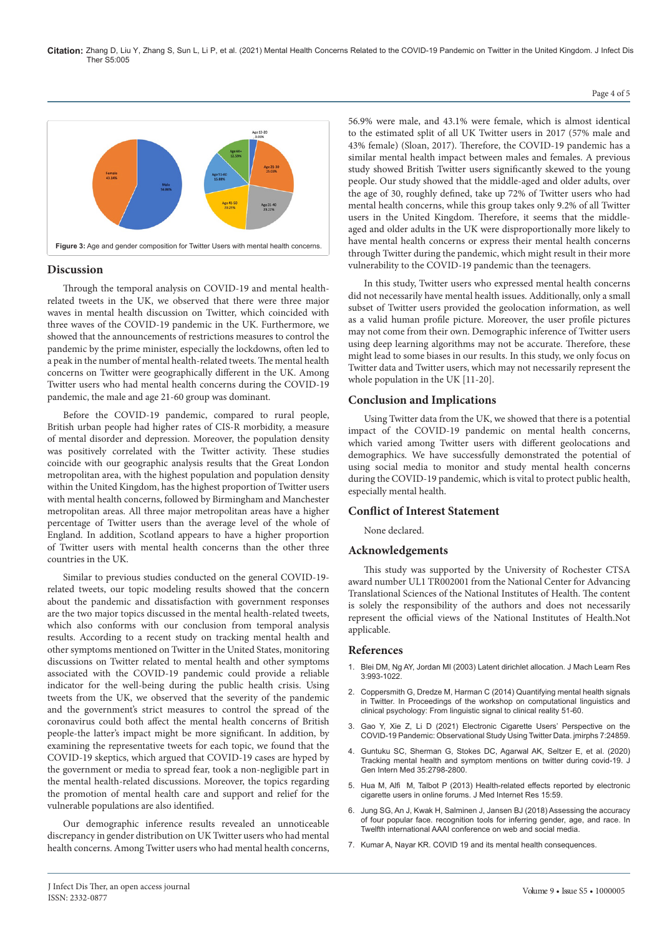

## **Discussion**

Through the temporal analysis on COVID-19 and mental healthrelated tweets in the UK, we observed that there were three major waves in mental health discussion on Twitter, which coincided with three waves of the COVID-19 pandemic in the UK. Furthermore, we showed that the announcements of restrictions measures to control the pandemic by the prime minister, especially the lockdowns, often led to a peak in the number of mental health-related tweets. The mental health concerns on Twitter were geographically different in the UK. Among Twitter users who had mental health concerns during the COVID-19 pandemic, the male and age 21-60 group was dominant.

Before the COVID-19 pandemic, compared to rural people, British urban people had higher rates of CIS-R morbidity, a measure of mental disorder and depression. Moreover, the population density was positively correlated with the Twitter activity. These studies coincide with our geographic analysis results that the Great London metropolitan area, with the highest population and population density within the United Kingdom, has the highest proportion of Twitter users with mental health concerns, followed by Birmingham and Manchester metropolitan areas. All three major metropolitan areas have a higher percentage of Twitter users than the average level of the whole of England. In addition, Scotland appears to have a higher proportion of Twitter users with mental health concerns than the other three countries in the UK.

Similar to previous studies conducted on the general COVID-19 related tweets, our topic modeling results showed that the concern about the pandemic and dissatisfaction with government responses are the two major topics discussed in the mental health-related tweets, which also conforms with our conclusion from temporal analysis results. According to a recent study on tracking mental health and other symptoms mentioned on Twitter in the United States, monitoring discussions on Twitter related to mental health and other symptoms associated with the COVID-19 pandemic could provide a reliable indicator for the well-being during the public health crisis. Using tweets from the UK, we observed that the severity of the pandemic and the government's strict measures to control the spread of the coronavirus could both affect the mental health concerns of British people-the latter's impact might be more significant. In addition, by examining the representative tweets for each topic, we found that the COVID-19 skeptics, which argued that COVID-19 cases are hyped by the government or media to spread fear, took a non-negligible part in the mental health-related discussions. Moreover, the topics regarding the promotion of mental health care and support and relief for the vulnerable populations are also identified.

Our demographic inference results revealed an unnoticeable discrepancy in gender distribution on UK Twitter users who had mental health concerns. Among Twitter users who had mental health concerns,

56.9% were male, and 43.1% were female, which is almost identical to the estimated split of all UK Twitter users in 2017 (57% male and 43% female) (Sloan, 2017). Therefore, the COVID-19 pandemic has a similar mental health impact between males and females. A previous study showed British Twitter users significantly skewed to the young people. Our study showed that the middle-aged and older adults, over the age of 30, roughly defined, take up 72% of Twitter users who had mental health concerns, while this group takes only 9.2% of all Twitter users in the United Kingdom. Therefore, it seems that the middleaged and older adults in the UK were disproportionally more likely to have mental health concerns or express their mental health concerns through Twitter during the pandemic, which might result in their more vulnerability to the COVID-19 pandemic than the teenagers.

In this study, Twitter users who expressed mental health concerns did not necessarily have mental health issues. Additionally, only a small subset of Twitter users provided the geolocation information, as well as a valid human profile picture. Moreover, the user profile pictures may not come from their own. Demographic inference of Twitter users using deep learning algorithms may not be accurate. Therefore, these might lead to some biases in our results. In this study, we only focus on Twitter data and Twitter users, which may not necessarily represent the whole population in the UK [11-20].

# **Conclusion and Implications**

Using Twitter data from the UK, we showed that there is a potential impact of the COVID-19 pandemic on mental health concerns, which varied among Twitter users with different geolocations and demographics. We have successfully demonstrated the potential of using social media to monitor and study mental health concerns during the COVID-19 pandemic, which is vital to protect public health, especially mental health.

# **Conflict of Interest Statement**

None declared.

## **Acknowledgements**

This study was supported by the University of Rochester CTSA award number UL1 TR002001 from the National Center for Advancing Translational Sciences of the National Institutes of Health. The content is solely the responsibility of the authors and does not necessarily represent the official views of the National Institutes of Health.Not applicable.

## **References**

- 1. Blei DM, Ng AY, Jordan MI (2003) Latent dirichlet allocation. J Mach Learn Res 3:993-1022.
- 2. [Coppersmith G, Dredze M, Harman C \(2014\) Quantifying mental health signals](https://doi.org/10.3115/v1/w14-3207)  in Twitter. In Proceedings of the workshop on computational linguistics and clinical psychology: From linguistic signal to clinical reality 51-60.
- 3. [Gao Y, Xie Z, Li D \(2021\) Electronic Cigarette Users' Perspective on the](https://doi.org/10.2196/24859) COVID-19 Pandemic: Observational Study Using Twitter Data. jmirphs 7:24859.
- 4. Guntuku SC, Sherman G, Stokes DC, Agarwal AK, Seltzer E, et al. (2020) [Tracking mental health and symptom mentions on twitter during covid-19. J](https://doi.org/10.1007/s11606-020-05988-8) Gen Intern Med 35:2798-2800.
- 5. [Hua M, Alfi M, Talbot P \(2013\) Health-related effects reported by electronic](https://doi.org/10.2196/jmir.2324)  cigarette users in online forums. J Med Internet Res 15:59.
- 6. [Jung SG, An J, Kwak H, Salminen J, Jansen BJ \(2018\) Assessing the accuracy](https://doi.org/10.5339/qfarc.2018.ictpp78)  of four popular face. recognition tools for inferring gender, age, and race. In Twelfth international AAAI conference on web and social media.
- 7. Kumar A, Nayar KR. COVID 19 and its mental health consequences.